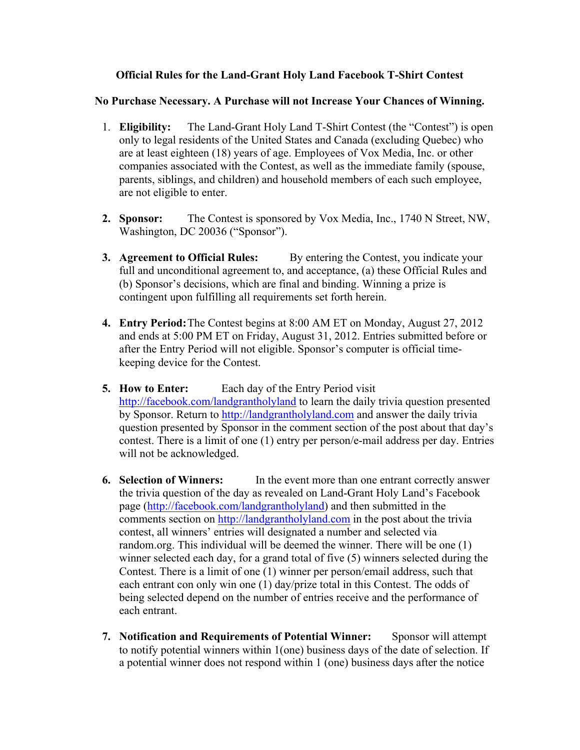## **Official Rules for the Land-Grant Holy Land Facebook T-Shirt Contest**

## **No Purchase Necessary. A Purchase will not Increase Your Chances of Winning.**

- 1. **Eligibility:** The Land-Grant Holy Land T-Shirt Contest (the "Contest") is open only to legal residents of the United States and Canada (excluding Quebec) who are at least eighteen (18) years of age. Employees of Vox Media, Inc. or other companies associated with the Contest, as well as the immediate family (spouse, parents, siblings, and children) and household members of each such employee, are not eligible to enter.
- **2. Sponsor:** The Contest is sponsored by Vox Media, Inc., 1740 N Street, NW, Washington, DC 20036 ("Sponsor").
- **3. Agreement to Official Rules:** By entering the Contest, you indicate your full and unconditional agreement to, and acceptance, (a) these Official Rules and (b) Sponsor's decisions, which are final and binding. Winning a prize is contingent upon fulfilling all requirements set forth herein.
- **4. Entry Period:**The Contest begins at 8:00 AM ET on Monday, August 27, 2012 and ends at 5:00 PM ET on Friday, August 31, 2012. Entries submitted before or after the Entry Period will not eligible. Sponsor's computer is official timekeeping device for the Contest.
- **5. How to Enter:** Each day of the Entry Period visit http://facebook.com/landgrantholyland to learn the daily trivia question presented by Sponsor. Return to http://landgrantholyland.com and answer the daily trivia question presented by Sponsor in the comment section of the post about that day's contest. There is a limit of one (1) entry per person/e-mail address per day. Entries will not be acknowledged.
- **6. Selection of Winners:** In the event more than one entrant correctly answer the trivia question of the day as revealed on Land-Grant Holy Land's Facebook page (http://facebook.com/landgrantholyland) and then submitted in the comments section on http://landgrantholyland.com in the post about the trivia contest, all winners' entries will designated a number and selected via random.org. This individual will be deemed the winner. There will be one (1) winner selected each day, for a grand total of five (5) winners selected during the Contest. There is a limit of one (1) winner per person/email address, such that each entrant con only win one (1) day/prize total in this Contest. The odds of being selected depend on the number of entries receive and the performance of each entrant.
- **7. Notification and Requirements of Potential Winner:** Sponsor will attempt to notify potential winners within 1(one) business days of the date of selection. If a potential winner does not respond within 1 (one) business days after the notice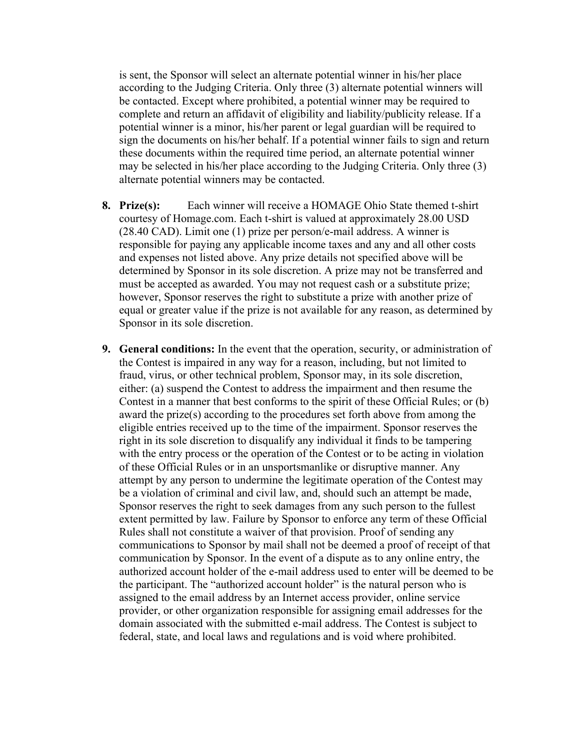is sent, the Sponsor will select an alternate potential winner in his/her place according to the Judging Criteria. Only three (3) alternate potential winners will be contacted. Except where prohibited, a potential winner may be required to complete and return an affidavit of eligibility and liability/publicity release. If a potential winner is a minor, his/her parent or legal guardian will be required to sign the documents on his/her behalf. If a potential winner fails to sign and return these documents within the required time period, an alternate potential winner may be selected in his/her place according to the Judging Criteria. Only three (3) alternate potential winners may be contacted.

- **8. Prize(s):** Each winner will receive a HOMAGE Ohio State themed t-shirt courtesy of Homage.com. Each t-shirt is valued at approximately 28.00 USD (28.40 CAD). Limit one (1) prize per person/e-mail address. A winner is responsible for paying any applicable income taxes and any and all other costs and expenses not listed above. Any prize details not specified above will be determined by Sponsor in its sole discretion. A prize may not be transferred and must be accepted as awarded. You may not request cash or a substitute prize; however, Sponsor reserves the right to substitute a prize with another prize of equal or greater value if the prize is not available for any reason, as determined by Sponsor in its sole discretion.
- **9. General conditions:** In the event that the operation, security, or administration of the Contest is impaired in any way for a reason, including, but not limited to fraud, virus, or other technical problem, Sponsor may, in its sole discretion, either: (a) suspend the Contest to address the impairment and then resume the Contest in a manner that best conforms to the spirit of these Official Rules; or (b) award the prize(s) according to the procedures set forth above from among the eligible entries received up to the time of the impairment. Sponsor reserves the right in its sole discretion to disqualify any individual it finds to be tampering with the entry process or the operation of the Contest or to be acting in violation of these Official Rules or in an unsportsmanlike or disruptive manner. Any attempt by any person to undermine the legitimate operation of the Contest may be a violation of criminal and civil law, and, should such an attempt be made, Sponsor reserves the right to seek damages from any such person to the fullest extent permitted by law. Failure by Sponsor to enforce any term of these Official Rules shall not constitute a waiver of that provision. Proof of sending any communications to Sponsor by mail shall not be deemed a proof of receipt of that communication by Sponsor. In the event of a dispute as to any online entry, the authorized account holder of the e-mail address used to enter will be deemed to be the participant. The "authorized account holder" is the natural person who is assigned to the email address by an Internet access provider, online service provider, or other organization responsible for assigning email addresses for the domain associated with the submitted e-mail address. The Contest is subject to federal, state, and local laws and regulations and is void where prohibited.